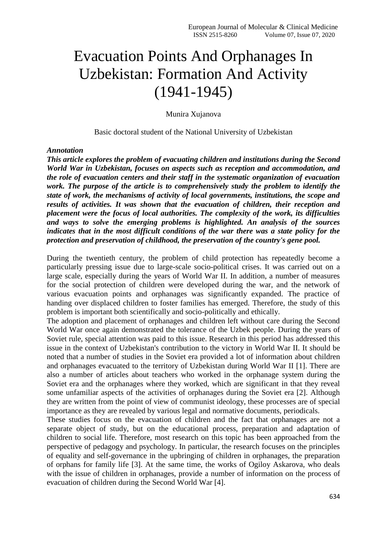## Evacuation Points And Orphanages In Uzbekistan: Formation And Activity (1941-1945)

Munira Xujanova

Basic doctoral student of the National University of Uzbekistan

## *Annotation*

*This article explores the problem of evacuating children and institutions during the Second World War in Uzbekistan, focuses on aspects such as reception and accommodation, and the role of evacuation centers and their staff in the systematic organization of evacuation work. The purpose of the article is to comprehensively study the problem to identify the state of work, the mechanisms of activity of local governments, institutions, the scope and results of activities. It was shown that the evacuation of children, their reception and placement were the focus of local authorities. The complexity of the work, its difficulties and ways to solve the emerging problems is highlighted. An analysis of the sources indicates that in the most difficult conditions of the war there was a state policy for the protection and preservation of childhood, the preservation of the country's gene pool.*

During the twentieth century, the problem of child protection has repeatedly become a particularly pressing issue due to large-scale socio-political crises. It was carried out on a large scale, especially during the years of World War II. In addition, a number of measures for the social protection of children were developed during the war, and the network of various evacuation points and orphanages was significantly expanded. The practice of handing over displaced children to foster families has emerged. Therefore, the study of this problem is important both scientifically and socio-politically and ethically.

The adoption and placement of orphanages and children left without care during the Second World War once again demonstrated the tolerance of the Uzbek people. During the years of Soviet rule, special attention was paid to this issue. Research in this period has addressed this issue in the context of Uzbekistan's contribution to the victory in World War II. It should be noted that a number of studies in the Soviet era provided a lot of information about children and orphanages evacuated to the territory of Uzbekistan during World War II [1]. There are also a number of articles about teachers who worked in the orphanage system during the Soviet era and the orphanages where they worked, which are significant in that they reveal some unfamiliar aspects of the activities of orphanages during the Soviet era [2]. Although they are written from the point of view of communist ideology, these processes are of special importance as they are revealed by various legal and normative documents, periodicals.

These studies focus on the evacuation of children and the fact that orphanages are not a separate object of study, but on the educational process, preparation and adaptation of children to social life. Therefore, most research on this topic has been approached from the perspective of pedagogy and psychology. In particular, the research focuses on the principles of equality and self-governance in the upbringing of children in orphanages, the preparation of orphans for family life [3]. At the same time, the works of Ogiloy Askarova, who deals with the issue of children in orphanages, provide a number of information on the process of evacuation of children during the Second World War [4].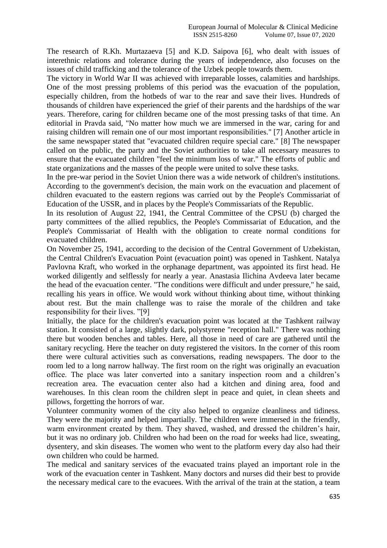The research of R.Kh. Murtazaeva [5] and K.D. Saipova [6], who dealt with issues of interethnic relations and tolerance during the years of independence, also focuses on the issues of child trafficking and the tolerance of the Uzbek people towards them.

The victory in World War II was achieved with irreparable losses, calamities and hardships. One of the most pressing problems of this period was the evacuation of the population, especially children, from the hotbeds of war to the rear and save their lives. Hundreds of thousands of children have experienced the grief of their parents and the hardships of the war years. Therefore, caring for children became one of the most pressing tasks of that time. An editorial in Pravda said, "No matter how much we are immersed in the war, caring for and raising children will remain one of our most important responsibilities." [7] Another article in the same newspaper stated that "evacuated children require special care." [8] The newspaper called on the public, the party and the Soviet authorities to take all necessary measures to ensure that the evacuated children "feel the minimum loss of war." The efforts of public and state organizations and the masses of the people were united to solve these tasks.

In the pre-war period in the Soviet Union there was a wide network of children's institutions. According to the government's decision, the main work on the evacuation and placement of children evacuated to the eastern regions was carried out by the People's Commissariat of Education of the USSR, and in places by the People's Commissariats of the Republic.

In its resolution of August 22, 1941, the Central Committee of the CPSU (b) charged the party committees of the allied republics, the People's Commissariat of Education, and the People's Commissariat of Health with the obligation to create normal conditions for evacuated children.

On November 25, 1941, according to the decision of the Central Government of Uzbekistan, the Central Children's Evacuation Point (evacuation point) was opened in Tashkent. Natalya Pavlovna Kraft, who worked in the orphanage department, was appointed its first head. He worked diligently and selflessly for nearly a year. Anastasia Ilichina Avdeeva later became the head of the evacuation center. "The conditions were difficult and under pressure," he said, recalling his years in office. We would work without thinking about time, without thinking about rest. But the main challenge was to raise the morale of the children and take responsibility for their lives. "[9]

Initially, the place for the children's evacuation point was located at the Tashkent railway station. It consisted of a large, slightly dark, polystyrene "reception hall." There was nothing there but wooden benches and tables. Here, all those in need of care are gathered until the sanitary recycling. Here the teacher on duty registered the visitors. In the corner of this room there were cultural activities such as conversations, reading newspapers. The door to the room led to a long narrow hallway. The first room on the right was originally an evacuation office. The place was later converted into a sanitary inspection room and a children's recreation area. The evacuation center also had a kitchen and dining area, food and warehouses. In this clean room the children slept in peace and quiet, in clean sheets and pillows, forgetting the horrors of war.

Volunteer community women of the city also helped to organize cleanliness and tidiness. They were the majority and helped impartially. The children were immersed in the friendly, warm environment created by them. They shaved, washed, and dressed the children's hair, but it was no ordinary job. Children who had been on the road for weeks had lice, sweating, dysentery, and skin diseases. The women who went to the platform every day also had their own children who could be harmed.

The medical and sanitary services of the evacuated trains played an important role in the work of the evacuation center in Tashkent. Many doctors and nurses did their best to provide the necessary medical care to the evacuees. With the arrival of the train at the station, a team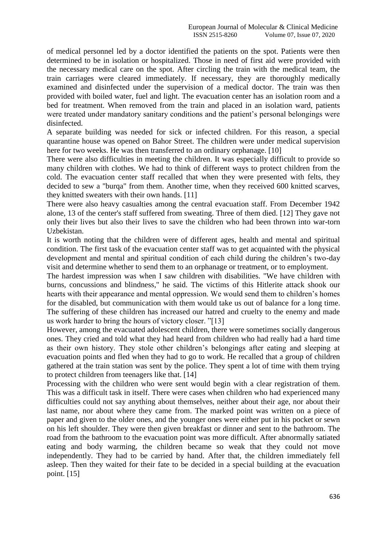of medical personnel led by a doctor identified the patients on the spot. Patients were then determined to be in isolation or hospitalized. Those in need of first aid were provided with the necessary medical care on the spot. After circling the train with the medical team, the train carriages were cleared immediately. If necessary, they are thoroughly medically examined and disinfected under the supervision of a medical doctor. The train was then provided with boiled water, fuel and light. The evacuation center has an isolation room and a bed for treatment. When removed from the train and placed in an isolation ward, patients were treated under mandatory sanitary conditions and the patient's personal belongings were disinfected.

A separate building was needed for sick or infected children. For this reason, a special quarantine house was opened on Bahor Street. The children were under medical supervision here for two weeks. He was then transferred to an ordinary orphanage. [10]

There were also difficulties in meeting the children. It was especially difficult to provide so many children with clothes. We had to think of different ways to protect children from the cold. The evacuation center staff recalled that when they were presented with felts, they decided to sew a "burqa" from them. Another time, when they received 600 knitted scarves, they knitted sweaters with their own hands. [11]

There were also heavy casualties among the central evacuation staff. From December 1942 alone, 13 of the center's staff suffered from sweating. Three of them died. [12] They gave not only their lives but also their lives to save the children who had been thrown into war-torn Uzbekistan.

It is worth noting that the children were of different ages, health and mental and spiritual condition. The first task of the evacuation center staff was to get acquainted with the physical development and mental and spiritual condition of each child during the children's two-day visit and determine whether to send them to an orphanage or treatment, or to employment.

The hardest impression was when I saw children with disabilities. "We have children with burns, concussions and blindness," he said. The victims of this Hitlerite attack shook our hearts with their appearance and mental oppression. We would send them to children's homes for the disabled, but communication with them would take us out of balance for a long time. The suffering of these children has increased our hatred and cruelty to the enemy and made us work harder to bring the hours of victory closer. "[13]

However, among the evacuated adolescent children, there were sometimes socially dangerous ones. They cried and told what they had heard from children who had really had a hard time as their own history. They stole other children's belongings after eating and sleeping at evacuation points and fled when they had to go to work. He recalled that a group of children gathered at the train station was sent by the police. They spent a lot of time with them trying to protect children from teenagers like that. [14]

Processing with the children who were sent would begin with a clear registration of them. This was a difficult task in itself. There were cases when children who had experienced many difficulties could not say anything about themselves, neither about their age, nor about their last name, nor about where they came from. The marked point was written on a piece of paper and given to the older ones, and the younger ones were either put in his pocket or sewn on his left shoulder. They were then given breakfast or dinner and sent to the bathroom. The road from the bathroom to the evacuation point was more difficult. After abnormally satiated eating and body warming, the children became so weak that they could not move independently. They had to be carried by hand. After that, the children immediately fell asleep. Then they waited for their fate to be decided in a special building at the evacuation point. [15]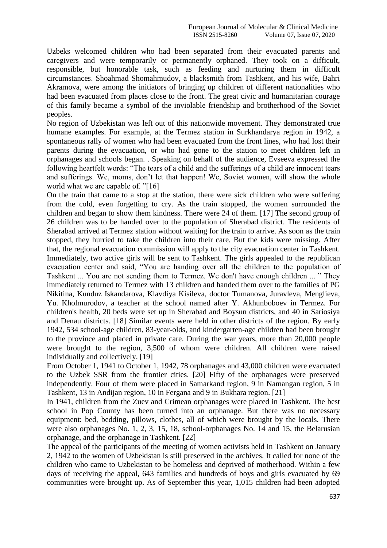Uzbeks welcomed children who had been separated from their evacuated parents and caregivers and were temporarily or permanently orphaned. They took on a difficult, responsible, but honorable task, such as feeding and nurturing them in difficult circumstances. Shoahmad Shomahmudov, a blacksmith from Tashkent, and his wife, Bahri Akramova, were among the initiators of bringing up children of different nationalities who had been evacuated from places close to the front. The great civic and humanitarian courage of this family became a symbol of the inviolable friendship and brotherhood of the Soviet peoples.

No region of Uzbekistan was left out of this nationwide movement. They demonstrated true humane examples. For example, at the Termez station in Surkhandarya region in 1942, a spontaneous rally of women who had been evacuated from the front lines, who had lost their parents during the evacuation, or who had gone to the station to meet children left in orphanages and schools began. . Speaking on behalf of the audience, Evseeva expressed the following heartfelt words: "The tears of a child and the sufferings of a child are innocent tears and sufferings. We, moms, don't let that happen! We, Soviet women, will show the whole world what we are capable of. "[16]

On the train that came to a stop at the station, there were sick children who were suffering from the cold, even forgetting to cry. As the train stopped, the women surrounded the children and began to show them kindness. There were 24 of them. [17] The second group of 26 children was to be handed over to the population of Sherabad district. The residents of Sherabad arrived at Termez station without waiting for the train to arrive. As soon as the train stopped, they hurried to take the children into their care. But the kids were missing. After that, the regional evacuation commission will apply to the city evacuation center in Tashkent. Immediately, two active girls will be sent to Tashkent. The girls appealed to the republican evacuation center and said, "You are handing over all the children to the population of Tashkent ... You are not sending them to Termez. We don't have enough children ... " They immediately returned to Termez with 13 children and handed them over to the families of PG Nikitina, Kunduz Iskandarova, Klavdiya Kisileva, doctor Tumanova, Juravleva, Menglieva, Yu. Kholmurodov, a teacher at the school named after Y. Akhunboboev in Termez. For children's health, 20 beds were set up in Sherabad and Boysun districts, and 40 in Sariosiya and Denau districts. [18] Similar events were held in other districts of the region. By early 1942, 534 school-age children, 83-year-olds, and kindergarten-age children had been brought to the province and placed in private care. During the war years, more than 20,000 people were brought to the region, 3,500 of whom were children. All children were raised individually and collectively. [19]

From October 1, 1941 to October 1, 1942, 78 orphanages and 43,000 children were evacuated to the Uzbek SSR from the frontier cities. [20] Fifty of the orphanages were preserved independently. Four of them were placed in Samarkand region, 9 in Namangan region, 5 in Tashkent, 13 in Andijan region, 10 in Fergana and 9 in Bukhara region. [21]

In 1941, children from the Zuev and Crimean orphanages were placed in Tashkent. The best school in Pop County has been turned into an orphanage. But there was no necessary equipment: bed, bedding, pillows, clothes, all of which were brought by the locals. There were also orphanages No. 1, 2, 3, 15, 18, school-orphanages No. 14 and 15, the Belarusian orphanage, and the orphanage in Tashkent. [22]

The appeal of the participants of the meeting of women activists held in Tashkent on January 2, 1942 to the women of Uzbekistan is still preserved in the archives. It called for none of the children who came to Uzbekistan to be homeless and deprived of motherhood. Within a few days of receiving the appeal, 643 families and hundreds of boys and girls evacuated by 69 communities were brought up. As of September this year, 1,015 children had been adopted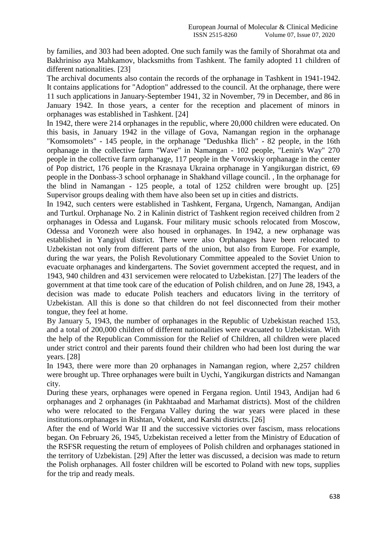by families, and 303 had been adopted. One such family was the family of Shorahmat ota and Bakhriniso aya Mahkamov, blacksmiths from Tashkent. The family adopted 11 children of different nationalities. [23]

The archival documents also contain the records of the orphanage in Tashkent in 1941-1942. It contains applications for "Adoption" addressed to the council. At the orphanage, there were 11 such applications in January-September 1941, 32 in November, 79 in December, and 86 in January 1942. In those years, a center for the reception and placement of minors in orphanages was established in Tashkent. [24]

In 1942, there were 214 orphanages in the republic, where 20,000 children were educated. On this basis, in January 1942 in the village of Gova, Namangan region in the orphanage "Komsomolets" - 145 people, in the orphanage "Dedushka Ilich" - 82 people, in the 16th orphanage in the collective farm "Wave" in Namangan - 102 people, "Lenin's Way" 270 people in the collective farm orphanage, 117 people in the Vorovskiy orphanage in the center of Pop district, 176 people in the Krasnaya Ukraina orphanage in Yangikurgan district, 69 people in the Donbass-3 school orphanage in Shakhand village council. , In the orphanage for the blind in Namangan - 125 people, a total of 1252 children were brought up. [25] Supervisor groups dealing with them have also been set up in cities and districts.

In 1942, such centers were established in Tashkent, Fergana, Urgench, Namangan, Andijan and Turtkul. Orphanage No. 2 in Kalinin district of Tashkent region received children from 2 orphanages in Odessa and Lugansk. Four military music schools relocated from Moscow, Odessa and Voronezh were also housed in orphanages. In 1942, a new orphanage was established in Yangiyul district. There were also Orphanages have been relocated to Uzbekistan not only from different parts of the union, but also from Europe. For example, during the war years, the Polish Revolutionary Committee appealed to the Soviet Union to evacuate orphanages and kindergartens. The Soviet government accepted the request, and in 1943, 940 children and 431 servicemen were relocated to Uzbekistan. [27] The leaders of the government at that time took care of the education of Polish children, and on June 28, 1943, a decision was made to educate Polish teachers and educators living in the territory of Uzbekistan. All this is done so that children do not feel disconnected from their mother tongue, they feel at home.

By January 5, 1943, the number of orphanages in the Republic of Uzbekistan reached 153, and a total of 200,000 children of different nationalities were evacuated to Uzbekistan. With the help of the Republican Commission for the Relief of Children, all children were placed under strict control and their parents found their children who had been lost during the war years. [28]

In 1943, there were more than 20 orphanages in Namangan region, where 2,257 children were brought up. Three orphanages were built in Uychi, Yangikurgan districts and Namangan city.

During these years, orphanages were opened in Fergana region. Until 1943, Andijan had 6 orphanages and 2 orphanages (in Pakhtaabad and Marhamat districts). Most of the children who were relocated to the Fergana Valley during the war years were placed in these institutions.orphanages in Rishtan, Vobkent, and Karshi districts. [26]

After the end of World War II and the successive victories over fascism, mass relocations began. On February 26, 1945, Uzbekistan received a letter from the Ministry of Education of the RSFSR requesting the return of employees of Polish children and orphanages stationed in the territory of Uzbekistan. [29] After the letter was discussed, a decision was made to return the Polish orphanages. All foster children will be escorted to Poland with new tops, supplies for the trip and ready meals.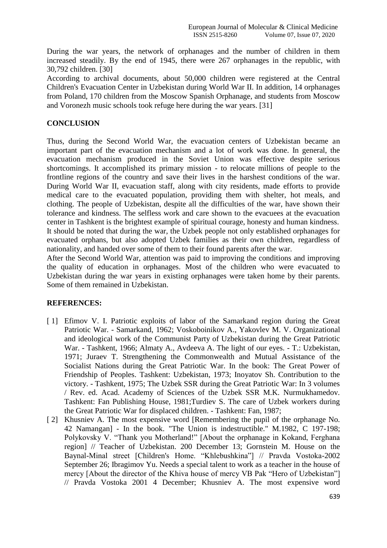During the war years, the network of orphanages and the number of children in them increased steadily. By the end of 1945, there were 267 orphanages in the republic, with 30,792 children. [30]

According to archival documents, about 50,000 children were registered at the Central Children's Evacuation Center in Uzbekistan during World War II. In addition, 14 orphanages from Poland, 170 children from the Moscow Spanish Orphanage, and students from Moscow and Voronezh music schools took refuge here during the war years. [31]

## **CONCLUSION**

Thus, during the Second World War, the evacuation centers of Uzbekistan became an important part of the evacuation mechanism and a lot of work was done. In general, the evacuation mechanism produced in the Soviet Union was effective despite serious shortcomings. It accomplished its primary mission - to relocate millions of people to the frontline regions of the country and save their lives in the harshest conditions of the war. During World War II, evacuation staff, along with city residents, made efforts to provide medical care to the evacuated population, providing them with shelter, hot meals, and clothing. The people of Uzbekistan, despite all the difficulties of the war, have shown their tolerance and kindness. The selfless work and care shown to the evacuees at the evacuation center in Tashkent is the brightest example of spiritual courage, honesty and human kindness. It should be noted that during the war, the Uzbek people not only established orphanages for evacuated orphans, but also adopted Uzbek families as their own children, regardless of nationality, and handed over some of them to their found parents after the war.

After the Second World War, attention was paid to improving the conditions and improving the quality of education in orphanages. Most of the children who were evacuated to Uzbekistan during the war years in existing orphanages were taken home by their parents. Some of them remained in Uzbekistan.

## **REFERENCES:**

- [1] Efimov V. I. Patriotic exploits of labor of the Samarkand region during the Great Patriotic War. - Samarkand, 1962; Voskoboinikov A., Yakovlev M. V. Organizational and ideological work of the Communist Party of Uzbekistan during the Great Patriotic War. - Tashkent, 1966; Almaty A., Avdeeva A. The light of our eyes. - T.: Uzbekistan, 1971; Juraev T. Strengthening the Commonwealth and Mutual Assistance of the Socialist Nations during the Great Patriotic War. In the book: The Great Power of Friendship of Peoples. Tashkent: Uzbekistan, 1973; Inoyatov Sh. Contribution to the victory. - Tashkent, 1975; The Uzbek SSR during the Great Patriotic War: In 3 volumes / Rev. ed. Acad. Academy of Sciences of the Uzbek SSR M.K. Nurmukhamedov. Tashkent: Fan Publishing House, 1981;Turdiev S. The care of Uzbek workers during the Great Patriotic War for displaced children. - Tashkent: Fan, 1987;
- [2] Khusniev A. The most expensive word [Remembering the pupil of the orphanage No. 42 Namangan] - In the book. "The Union is indestructible." M.1982, C 197-198; Polykovsky V. "Thank you Motherland!" [About the orphanage in Kokand, Ferghana region] // Teacher of Uzbekistan. 200 December 13; Gornstein M. House on the Baynal-Minal street [Children's Home. "Khlebushkina"] // Pravda Vostoka-2002 September 26; Ibragimov Yu. Needs a special talent to work as a teacher in the house of mercy [About the director of the Khiva house of mercy VB Pak "Hero of Uzbekistan"] // Pravda Vostoka 2001 4 December; Khusniev A. The most expensive word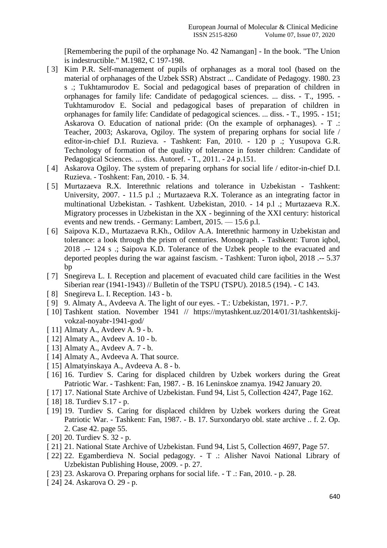[Remembering the pupil of the orphanage No. 42 Namangan] - In the book. "The Union is indestructible." M.1982, C 197-198.

- [ 3] Kim P.R. Self-management of pupils of orphanages as a moral tool (based on the material of orphanages of the Uzbek SSR) Abstract ... Candidate of Pedagogy. 1980. 23 s .; Tukhtamurodov E. Social and pedagogical bases of preparation of children in orphanages for family life: Candidate of pedagogical sciences. ... diss. - T., 1995. - Tukhtamurodov E. Social and pedagogical bases of preparation of children in orphanages for family life: Candidate of pedagogical sciences. ... diss. - T., 1995. - 151; Askarova O. Education of national pride: (On the example of orphanages). - T .: Teacher, 2003; Askarova, Ogiloy. The system of preparing orphans for social life / editor-in-chief D.I. Ruzieva. - Tashkent: Fan, 2010. - 120 p .; Yusupova G.R. Technology of formation of the quality of tolerance in foster children: Candidate of Pedagogical Sciences. ... diss. Autoref. - T., 2011. - 24 p.151.
- [4] Askarova Ogilov. The system of preparing orphans for social life / editor-in-chief D.I. Ruzieva. - Toshkent: Fan, 2010. - Б. 34.
- [ 5] Murtazaeva R.X. Interethnic relations and tolerance in Uzbekistan Tashkent: University, 2007. - 11.5 p.l.; Murtazaeva R.X. Tolerance as an integrating factor in multinational Uzbekistan. - Tashkent. Uzbekistan, 2010. - 14 p.l .; Murtazaeva R.X. Migratory processes in Uzbekistan in the XX - beginning of the XXI century: historical events and new trends. - Germany: Lambert, 2015. — 15.6 p.l.
- [ 6] Saipova K.D., Murtazaeva R.Kh., Odilov A.A. Interethnic harmony in Uzbekistan and tolerance: a look through the prism of centuries. Monograph. - Tashkent: Turon iqbol, 2018 .-- 124 s .; Saipova K.D. Tolerance of the Uzbek people to the evacuated and deported peoples during the war against fascism. - Tashkent: Turon iqbol, 2018 .-- 5.37 bp
- [ 7] Snegireva L. I. Reception and placement of evacuated child care facilities in the West Siberian rear (1941-1943) // Bulletin of the TSPU (TSPU). 2018.5 (194). - C 143.
- [8] Snegireva L. I. Reception. 143 b.
- [ 9] 9. Almaty A., Avdeeva A. The light of our eyes. T.: Uzbekistan, 1971. P.7.
- [ 10] Tashkent station. November 1941 // https://mytashkent.uz/2014/01/31/tashkentskijvokzal-noyabr-1941-god/
- [ 11] Almaty A., Avdeev A. 9 b.
- [ 12] Almaty A., Avdeev A. 10 b.
- [ 13] Almaty A., Avdeev A. 7 b.
- [ 14] Almaty A., Avdeeva A. That source.
- [ 15] Almatyinskaya A., Avdeeva A. 8 b.
- [ 16] 16. Turdiev S. Caring for displaced children by Uzbek workers during the Great Patriotic War. - Tashkent: Fan, 1987. - B. 16 Leninskoe znamya. 1942 January 20.
- [ 17] 17. National State Archive of Uzbekistan. Fund 94, List 5, Collection 4247, Page 162.
- [ 18] 18. Turdiev S.17 p.
- [ 19] 19. Turdiev S. Caring for displaced children by Uzbek workers during the Great Patriotic War. - Tashkent: Fan, 1987. - B. 17. Surxondaryo obl. state archive .. f. 2. Op. 2. Case 42. page 55.
- [ 20] 20. Turdiev S. 32 p.
- [ 21] 21. National State Archive of Uzbekistan. Fund 94, List 5, Collection 4697, Page 57.
- [ 22] 22. Egamberdieva N. Social pedagogy. T .: Alisher Navoi National Library of Uzbekistan Publishing House, 2009. - p. 27.
- [ 23] 23. Askarova O. Preparing orphans for social life. T .: Fan, 2010. p. 28.
- [ 24] 24. Askarova O. 29 p.